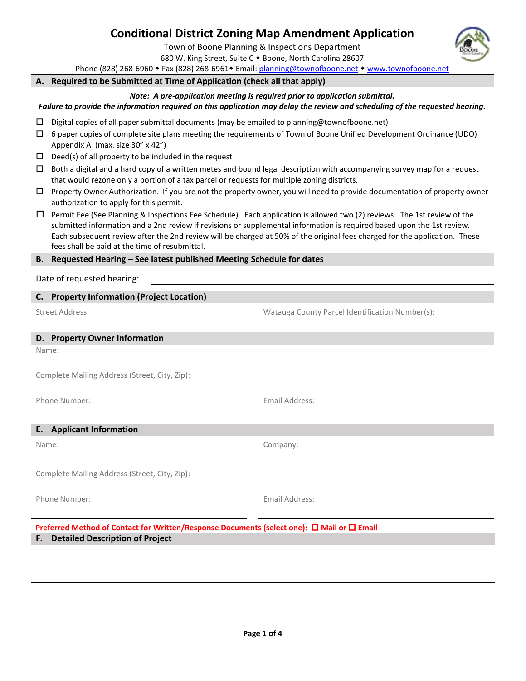# **Conditional District Zoning Map Amendment Application**

Town of Boone Planning & Inspections Department

680 W. King Street, Suite C . Boone, North Carolina 28607

Phone (828) 268-6960 • Fax (828) 268-6961 • Email[: planning@townofboone.net](mailto:planning@townofboone.net) • [www.townofboone.net](http://www.townofboone.net/)

**A. Required to be Submitted at Time of Application (check all that apply)**

#### *Note: A pre-application meeting is required prior to application submittal.*

*Failure to provide the information required on this application may delay the review and scheduling of the requested hearing.*

- $\square$  Digital copies of all paper submittal documents (may be emailed to planning@townofboone.net)
- $\Box$  6 paper copies of complete site plans meeting the requirements of Town of Boone Unified Development Ordinance (UDO) Appendix A (max. size 30" x 42")
- $\square$  Deed(s) of all property to be included in the request
- $\Box$  Both a digital and a hard copy of a written metes and bound legal description with accompanying survey map for a request that would rezone only a portion of a tax parcel or requests for multiple zoning districts.
- $\Box$  Property Owner Authorization. If you are not the property owner, you will need to provide documentation of property owner authorization to apply for this permit.
- $\Box$  Permit Fee (See Planning & Inspections Fee Schedule). Each application is allowed two (2) reviews. The 1st review of the submitted information and a 2nd review if revisions or supplemental information is required based upon the 1st review. Each subsequent review after the 2nd review will be charged at 50% of the original fees charged for the application. These fees shall be paid at the time of resubmittal.

#### **B. Requested Hearing – See latest published Meeting Schedule for dates**

#### Date of requested hearing:

#### **C. Property Information (Project Location)**

Street Address: Watauga County Parcel Identification Number(s):

#### **D. Property Owner Information**

Name:

Complete Mailing Address (Street, City, Zip):

Phone Number: Email Address:

#### **E. Applicant Information**

Name: Company:

Complete Mailing Address (Street, City, Zip):

Phone Number: Email Address:

**Preferred Method of Contact for Written/Response Documents (select one): □ Mail or □ Email F. Detailed Description of Project**

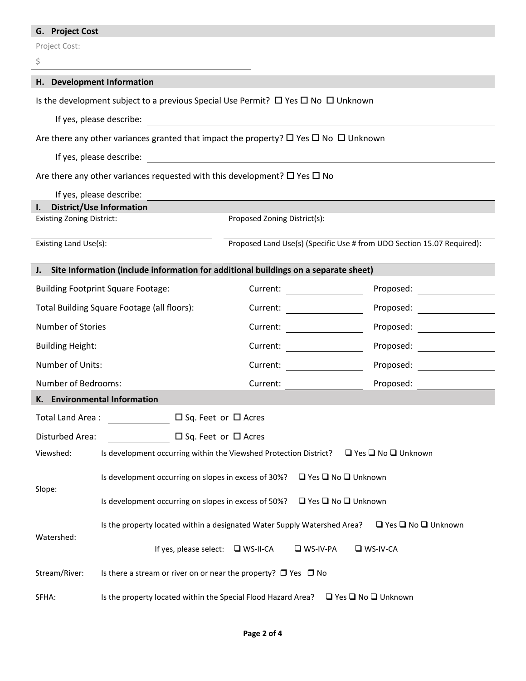# **G. Project Cost**

Project Cost:

| \$                                                                                                        |                                                                                                     |                                                                                                                      |                                                                                                                                                                                                                               |  |  |
|-----------------------------------------------------------------------------------------------------------|-----------------------------------------------------------------------------------------------------|----------------------------------------------------------------------------------------------------------------------|-------------------------------------------------------------------------------------------------------------------------------------------------------------------------------------------------------------------------------|--|--|
|                                                                                                           | H. Development Information                                                                          |                                                                                                                      |                                                                                                                                                                                                                               |  |  |
|                                                                                                           | Is the development subject to a previous Special Use Permit? $\Box$ Yes $\Box$ No $\Box$ Unknown    |                                                                                                                      |                                                                                                                                                                                                                               |  |  |
|                                                                                                           | If yes, please describe:                                                                            | <u> 1980 - Johann Barn, mars ar breithinn ar chuid ann an t-Alban ann an t-Alban ann an t-Alban ann an t-Alban a</u> |                                                                                                                                                                                                                               |  |  |
|                                                                                                           | Are there any other variances granted that impact the property? $\Box$ Yes $\Box$ No $\Box$ Unknown |                                                                                                                      |                                                                                                                                                                                                                               |  |  |
|                                                                                                           | If yes, please describe:                                                                            |                                                                                                                      |                                                                                                                                                                                                                               |  |  |
|                                                                                                           | Are there any other variances requested with this development? $\square$ Yes $\square$ No           |                                                                                                                      |                                                                                                                                                                                                                               |  |  |
|                                                                                                           | If yes, please describe:                                                                            |                                                                                                                      |                                                                                                                                                                                                                               |  |  |
| <b>District/Use Information</b><br>L.<br><b>Existing Zoning District:</b><br>Proposed Zoning District(s): |                                                                                                     |                                                                                                                      |                                                                                                                                                                                                                               |  |  |
|                                                                                                           |                                                                                                     |                                                                                                                      |                                                                                                                                                                                                                               |  |  |
| Existing Land Use(s):                                                                                     |                                                                                                     |                                                                                                                      | Proposed Land Use(s) (Specific Use # from UDO Section 15.07 Required):                                                                                                                                                        |  |  |
|                                                                                                           | J. Site Information (include information for additional buildings on a separate sheet)              |                                                                                                                      |                                                                                                                                                                                                                               |  |  |
|                                                                                                           | <b>Building Footprint Square Footage:</b>                                                           | Current:                                                                                                             | Proposed: _______________                                                                                                                                                                                                     |  |  |
| Total Building Square Footage (all floors):                                                               |                                                                                                     | Current: <u>_____________________</u>                                                                                | Proposed:                                                                                                                                                                                                                     |  |  |
| Number of Stories                                                                                         |                                                                                                     | Current:                                                                                                             | Proposed:                                                                                                                                                                                                                     |  |  |
| <b>Building Height:</b>                                                                                   |                                                                                                     | Current:                                                                                                             | Proposed: The contract of the contract of the contract of the contract of the contract of the contract of the contract of the contract of the contract of the contract of the contract of the contract of the contract of the |  |  |
| Number of Units:                                                                                          |                                                                                                     | Current:                                                                                                             | Proposed:                                                                                                                                                                                                                     |  |  |
| Number of Bedrooms:                                                                                       |                                                                                                     | Current:                                                                                                             | Proposed:                                                                                                                                                                                                                     |  |  |
|                                                                                                           | K. Environmental Information                                                                        |                                                                                                                      |                                                                                                                                                                                                                               |  |  |
| Total Land Area:                                                                                          |                                                                                                     | $\Box$ Sq. Feet or $\Box$ Acres                                                                                      |                                                                                                                                                                                                                               |  |  |
| $\Box$ Sq. Feet or $\Box$ Acres<br>Disturbed Area:                                                        |                                                                                                     |                                                                                                                      |                                                                                                                                                                                                                               |  |  |
| Viewshed:                                                                                                 | Is development occurring within the Viewshed Protection District?<br>□ Yes □ No □ Unknown           |                                                                                                                      |                                                                                                                                                                                                                               |  |  |
|                                                                                                           | Is development occurring on slopes in excess of 30%?<br>$\Box$ Yes $\Box$ No $\Box$ Unknown         |                                                                                                                      |                                                                                                                                                                                                                               |  |  |
| Slope:                                                                                                    | Is development occurring on slopes in excess of 50%?<br>$\Box$ Yes $\Box$ No $\Box$ Unknown         |                                                                                                                      |                                                                                                                                                                                                                               |  |  |
| Watershed:                                                                                                | Is the property located within a designated Water Supply Watershed Area?                            |                                                                                                                      | $\Box$ Yes $\Box$ No $\Box$ Unknown                                                                                                                                                                                           |  |  |
|                                                                                                           |                                                                                                     | If yes, please select: $\Box$ WS-II-CA<br>$\n  W$ S-IV-PA                                                            | $\n  W - W - CA\n$                                                                                                                                                                                                            |  |  |
| Stream/River:                                                                                             | Is there a stream or river on or near the property? $\Box$ Yes $\Box$ No                            |                                                                                                                      |                                                                                                                                                                                                                               |  |  |
| SFHA:                                                                                                     | Is the property located within the Special Flood Hazard Area?                                       |                                                                                                                      | $\Box$ Yes $\Box$ No $\Box$ Unknown                                                                                                                                                                                           |  |  |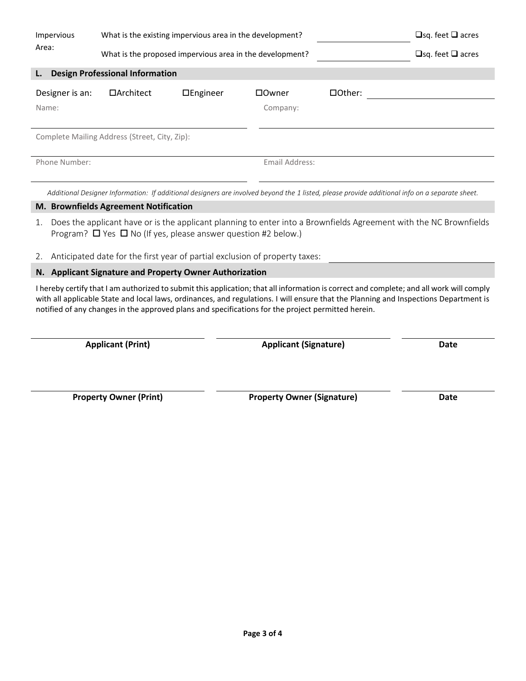| Impervious<br>Area: | What is the existing impervious area in the development?<br>What is the proposed impervious area in the development? |                        |                |               | $\Box$ sq. feet $\Box$ acres<br>$\Box$ sq. feet $\Box$ acres |  |  |
|---------------------|----------------------------------------------------------------------------------------------------------------------|------------------------|----------------|---------------|--------------------------------------------------------------|--|--|
| L.                  | <b>Design Professional Information</b>                                                                               |                        |                |               |                                                              |  |  |
| Designer is an:     | $\Box$ Architect                                                                                                     | $\Box$ <i>Engineer</i> | □Owner         | $\Box$ Other: |                                                              |  |  |
| Name:               |                                                                                                                      |                        | Company:       |               |                                                              |  |  |
|                     |                                                                                                                      |                        |                |               |                                                              |  |  |
|                     | Complete Mailing Address (Street, City, Zip):                                                                        |                        |                |               |                                                              |  |  |
| Phone Number:       |                                                                                                                      |                        | Email Address: |               |                                                              |  |  |

*Additional Designer Information: If additional designers are involved beyond the 1 listed, please provide additional info on a separate sheet.*

### **M. Brownfields Agreement Notification**

- 1. Does the applicant have or is the applicant planning to enter into a Brownfields Agreement with the NC Brownfields Program?  $\Box$  Yes  $\Box$  No (If yes, please answer question #2 below.)
- 2. Anticipated date for the first year of partial exclusion of property taxes:

### **N. Applicant Signature and Property Owner Authorization**

I hereby certify that I am authorized to submit this application; that all information is correct and complete; and all work will comply with all applicable State and local laws, ordinances, and regulations. I will ensure that the Planning and Inspections Department is notified of any changes in the approved plans and specifications for the project permitted herein.

**Applicant (Print) Applicant (Signature) Date**

**Property Owner (Print) Property Owner (Signature) Date**